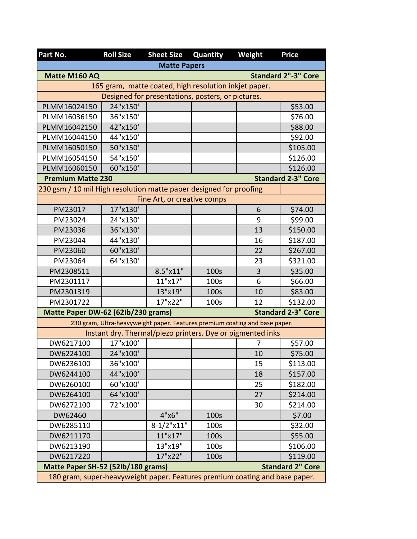| Part No.                                                                    | <b>Roll Size</b> | <b>Sheet Size</b>                                                           | Quantity | Weight | <b>Price</b>               |
|-----------------------------------------------------------------------------|------------------|-----------------------------------------------------------------------------|----------|--------|----------------------------|
|                                                                             |                  | <b>Matte Papers</b>                                                         |          |        |                            |
| Matte M160 AQ                                                               |                  |                                                                             |          |        | <b>Standard 2"-3" Core</b> |
|                                                                             |                  | 165 gram, matte coated, high resolution inkjet paper.                       |          |        |                            |
|                                                                             |                  | Designed for presentations, posters, or pictures.                           |          |        |                            |
| PLMM16024150                                                                | 24"x150'         |                                                                             |          |        | \$53.00                    |
| PLMM16036150                                                                | 36"x150'         |                                                                             |          |        | \$76.00                    |
| PLMM16042150                                                                | 42"x150'         |                                                                             |          |        | \$88.00                    |
| PLMM16044150                                                                | 44"x150'         |                                                                             |          |        | \$92.00                    |
| PLMM16050150                                                                | 50"x150'         |                                                                             |          |        | \$105.00                   |
| PLMM16054150                                                                | 54"x150'         |                                                                             |          |        | \$126.00                   |
| PLMM16060150                                                                | 60"x150'         |                                                                             |          |        | \$126.00                   |
| <b>Premium Matte 230</b>                                                    |                  |                                                                             |          |        | <b>Standard 2-3" Core</b>  |
| 230 gsm / 10 mil High resolution matte paper designed for proofing          |                  |                                                                             |          |        |                            |
|                                                                             |                  | Fine Art, or creative comps                                                 |          |        |                            |
| PM23017                                                                     | 17"x130'         |                                                                             |          | 6      | \$74.00                    |
| PM23024                                                                     | 24"x130'         |                                                                             |          | 9      | \$99.00                    |
| PM23036                                                                     | 36"x130'         |                                                                             |          | 13     | \$150.00                   |
| PM23044                                                                     | 44"x130'         |                                                                             |          | 16     | \$187.00                   |
| PM23060                                                                     | 60"x130'         |                                                                             |          | 22     | \$267.00                   |
| PM23064                                                                     | 64"x130'         |                                                                             |          | 23     | \$321.00                   |
| PM2308511                                                                   |                  | 8.5"x11"                                                                    | 100s     | 3      | \$35.00                    |
| PM2301117                                                                   |                  | 11"x17"                                                                     | 100s     | 6      | \$66.00                    |
| PM2301319                                                                   |                  | 13"x19"                                                                     | 100s     | 10     | \$83.00                    |
| PM2301722                                                                   |                  | 17"x22"                                                                     | 100s     | 12     | \$132.00                   |
| Matte Paper DW-62 (62lb/230 grams)                                          |                  |                                                                             |          |        | <b>Standard 2-3" Core</b>  |
|                                                                             |                  | 230 gram, Ultra-heavyweight paper. Features premium coating and base paper. |          |        |                            |
|                                                                             |                  | Instant dry. Thermal/piezo printers. Dye or pigmented inks                  |          |        |                            |
| DW6217100                                                                   | 17"x100'         |                                                                             |          | 7      | \$57.00                    |
| DW6224100                                                                   | 24"x100'         |                                                                             |          | 10     | \$75.00                    |
| DW6236100                                                                   | 36"x100'         |                                                                             |          | 15     | \$113.00                   |
| DW6244100                                                                   | 44"x100'         |                                                                             |          | 18     | \$157.00                   |
| DW6260100                                                                   | 60"x100'         |                                                                             |          | 25     | \$182.00                   |
| DW6264100                                                                   | 64"x100'         |                                                                             |          | 27     | \$214.00                   |
| DW6272100                                                                   | 72"x100'         |                                                                             |          | 30     | \$214.00                   |
| DW62460                                                                     |                  | 4"x6"                                                                       | 100s     |        | \$7.00                     |
| DW6285110                                                                   |                  | $8-1/2$ "x11"                                                               | 100s     |        | \$32.00                    |
| DW6211170                                                                   |                  | 11"x17"                                                                     | 100s     |        | \$55.00                    |
| DW6213190                                                                   |                  | 13"x19"                                                                     | 100s     |        | \$106.00                   |
| DW6217220                                                                   |                  | 17"x22"                                                                     | 100s     |        | \$119.00                   |
| <b>Standard 2" Core</b><br>Matte Paper SH-52 (52lb/180 grams)               |                  |                                                                             |          |        |                            |
| 180 gram, super-heavyweight paper. Features premium coating and base paper. |                  |                                                                             |          |        |                            |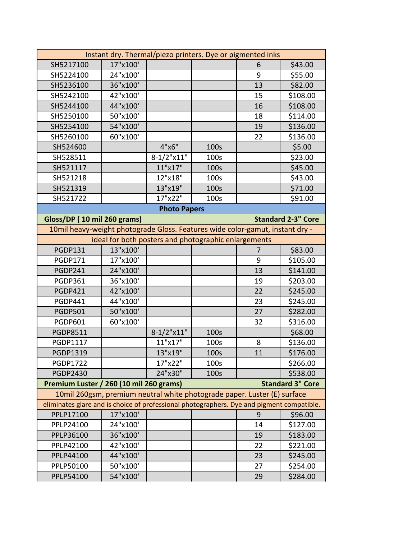|                                                                                           |                                                                                                                                       | Instant dry. Thermal/piezo printers. Dye or pigmented inks |      |    |                           |  |
|-------------------------------------------------------------------------------------------|---------------------------------------------------------------------------------------------------------------------------------------|------------------------------------------------------------|------|----|---------------------------|--|
| SH5217100                                                                                 | 17"x100'                                                                                                                              |                                                            |      | 6  | \$43.00                   |  |
| SH5224100                                                                                 | 24"x100'                                                                                                                              |                                                            |      | 9  | \$55.00                   |  |
| SH5236100                                                                                 | 36"x100'                                                                                                                              |                                                            |      | 13 | \$82.00                   |  |
| SH5242100                                                                                 | 42"x100'                                                                                                                              |                                                            |      | 15 | \$108.00                  |  |
| SH5244100                                                                                 | 44"x100'                                                                                                                              |                                                            |      | 16 | \$108.00                  |  |
| SH5250100                                                                                 | 50"x100'                                                                                                                              |                                                            |      | 18 | \$114.00                  |  |
| SH5254100                                                                                 | 54"x100'                                                                                                                              |                                                            |      | 19 | \$136.00                  |  |
| SH5260100                                                                                 | 60"x100'                                                                                                                              |                                                            |      | 22 | \$136.00                  |  |
| SH524600                                                                                  |                                                                                                                                       | 4"x6"                                                      | 100s |    | \$5.00                    |  |
| SH528511                                                                                  |                                                                                                                                       | $8-1/2$ "x11"                                              | 100s |    | \$23.00                   |  |
| SH521117                                                                                  |                                                                                                                                       | 11"x17"                                                    | 100s |    | \$45.00                   |  |
| SH521218                                                                                  |                                                                                                                                       | 12"x18"                                                    | 100s |    | \$43.00                   |  |
| SH521319                                                                                  |                                                                                                                                       | 13"x19"                                                    | 100s |    | \$71.00                   |  |
| SH521722                                                                                  |                                                                                                                                       | 17"x22"                                                    | 100s |    | \$91.00                   |  |
|                                                                                           |                                                                                                                                       | <b>Photo Papers</b>                                        |      |    |                           |  |
| Gloss/DP (10 mil 260 grams)                                                               |                                                                                                                                       |                                                            |      |    | <b>Standard 2-3" Core</b> |  |
|                                                                                           |                                                                                                                                       |                                                            |      |    |                           |  |
|                                                                                           | 10mil heavy-weight photograde Gloss. Features wide color-gamut, instant dry -<br>ideal for both posters and photographic enlargements |                                                            |      |    |                           |  |
| <b>PGDP131</b>                                                                            | 13"x100'                                                                                                                              |                                                            |      | 7  | \$83.00                   |  |
| <b>PGDP171</b>                                                                            | 17"x100'                                                                                                                              |                                                            |      | 9  | \$105.00                  |  |
| <b>PGDP241</b>                                                                            | 24"x100'                                                                                                                              |                                                            |      | 13 | \$141.00                  |  |
| <b>PGDP361</b>                                                                            | 36"x100'                                                                                                                              |                                                            |      | 19 | \$203.00                  |  |
| <b>PGDP421</b>                                                                            | 42"x100'                                                                                                                              |                                                            |      | 22 | \$245.00                  |  |
| <b>PGDP441</b>                                                                            | 44"x100'                                                                                                                              |                                                            |      | 23 | \$245.00                  |  |
| <b>PGDP501</b>                                                                            | 50"x100'                                                                                                                              |                                                            |      | 27 | \$282.00                  |  |
| <b>PGDP601</b>                                                                            | 60"x100'                                                                                                                              |                                                            |      | 32 | \$316.00                  |  |
| <b>PGDP8511</b>                                                                           |                                                                                                                                       | $8-1/2$ "x11"                                              | 100s |    | \$68.00                   |  |
| PGDP1117                                                                                  |                                                                                                                                       | 11"x17"                                                    | 100s | 8  | \$136.00                  |  |
| PGDP1319                                                                                  |                                                                                                                                       | 13"x19"                                                    | 100s | 11 | \$176.00                  |  |
| <b>PGDP1722</b>                                                                           |                                                                                                                                       | 17"x22"                                                    | 100s |    | \$266.00                  |  |
| <b>PGDP2430</b>                                                                           |                                                                                                                                       | 24"x30"                                                    | 100s |    | \$538.00                  |  |
| Premium Luster / 260 (10 mil 260 grams)                                                   |                                                                                                                                       |                                                            |      |    | <b>Standard 3" Core</b>   |  |
| 10mil 260gsm, premium neutral white photograde paper. Luster (E) surface                  |                                                                                                                                       |                                                            |      |    |                           |  |
| eliminates glare and is choice of professional photographers. Dye and pigment compatible. |                                                                                                                                       |                                                            |      |    |                           |  |
| PPLP17100                                                                                 | 17"x100'                                                                                                                              |                                                            |      | 9  | \$96.00                   |  |
| PPLP24100                                                                                 | 24"x100'                                                                                                                              |                                                            |      | 14 | \$127.00                  |  |
| PPLP36100                                                                                 | 36"x100'                                                                                                                              |                                                            |      | 19 | \$183.00                  |  |
| PPLP42100                                                                                 | 42"x100'                                                                                                                              |                                                            |      | 22 | \$221.00                  |  |
| PPLP44100                                                                                 | 44"x100'                                                                                                                              |                                                            |      | 23 | \$245.00                  |  |
| PPLP50100                                                                                 | 50"x100'                                                                                                                              |                                                            |      | 27 | \$254.00                  |  |
| PPLP54100                                                                                 | 54"x100'                                                                                                                              |                                                            |      | 29 | \$284.00                  |  |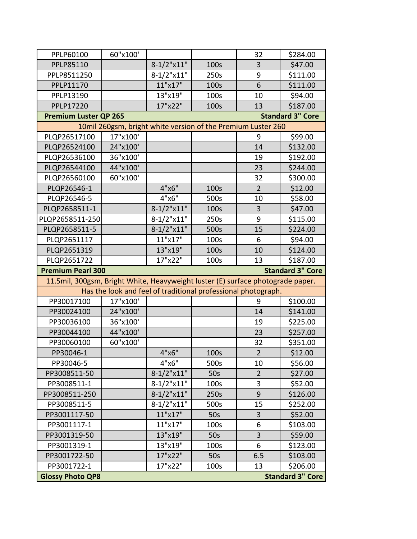| PPLP60100                                                                       | 60"x100' |                                                               |      | 32             | \$284.00 |  |  |  |
|---------------------------------------------------------------------------------|----------|---------------------------------------------------------------|------|----------------|----------|--|--|--|
| PPLP85110                                                                       |          | $8-1/2$ "x11"                                                 | 100s | 3              | \$47.00  |  |  |  |
| PPLP8511250                                                                     |          | $8 - 1/2$ "x11"                                               | 250s | 9              | \$111.00 |  |  |  |
| PPLP11170                                                                       |          | 11"x17"                                                       | 100s | 6              | \$111.00 |  |  |  |
| PPLP13190                                                                       |          | 13"x19"                                                       | 100s | 10             | \$94.00  |  |  |  |
| PPLP17220                                                                       |          | 17"x22"                                                       | 100s | 13             | \$187.00 |  |  |  |
| <b>Premium Luster QP 265</b><br><b>Standard 3" Core</b>                         |          |                                                               |      |                |          |  |  |  |
|                                                                                 |          | 10mil 260gsm, bright white version of the Premium Luster 260  |      |                |          |  |  |  |
| PLQP26517100                                                                    | 17"x100' |                                                               |      | 9              | \$99.00  |  |  |  |
| PLQP26524100                                                                    | 24"x100' |                                                               |      | 14             | \$132.00 |  |  |  |
| PLQP26536100                                                                    | 36"x100' |                                                               |      | 19             | \$192.00 |  |  |  |
| PLQP26544100                                                                    | 44"x100' |                                                               |      | 23             | \$244.00 |  |  |  |
| PLQP26560100                                                                    | 60"x100' |                                                               |      | 32             | \$300.00 |  |  |  |
| PLQP26546-1                                                                     |          | 4"x6"                                                         | 100s | $\overline{2}$ | \$12.00  |  |  |  |
| PLQP26546-5                                                                     |          | 4"x6"                                                         | 500s | 10             | \$58.00  |  |  |  |
| PLQP2658511-1                                                                   |          | $8-1/2$ "x11"                                                 | 100s | 3              | \$47.00  |  |  |  |
| PLQP2658511-250                                                                 |          | $8-1/2$ "x11"                                                 | 250s | 9              | \$115.00 |  |  |  |
| PLQP2658511-5                                                                   |          | $8-1/2$ "x11"                                                 | 500s | 15             | \$224.00 |  |  |  |
| PLQP2651117                                                                     |          | 11"x17"                                                       | 100s | 6              | \$94.00  |  |  |  |
| PLQP2651319                                                                     |          | 13"x19"                                                       | 100s | 10             | \$124.00 |  |  |  |
| PLQP2651722                                                                     |          | 17"x22"                                                       | 100s | 13             | \$187.00 |  |  |  |
|                                                                                 |          | <b>Standard 3" Core</b>                                       |      |                |          |  |  |  |
| <b>Premium Pearl 300</b>                                                        |          |                                                               |      |                |          |  |  |  |
| 11.5mil, 300gsm, Bright White, Heavyweight luster (E) surface photograde paper. |          |                                                               |      |                |          |  |  |  |
|                                                                                 |          | Has the look and feel of traditional professional photograph. |      |                |          |  |  |  |
| PP30017100                                                                      | 17"x100' |                                                               |      | 9              | \$100.00 |  |  |  |
| PP30024100                                                                      | 24"x100' |                                                               |      | 14             | \$141.00 |  |  |  |
| PP30036100                                                                      | 36"x100' |                                                               |      | 19             | \$225.00 |  |  |  |
| PP30044100                                                                      | 44"x100' |                                                               |      | 23             | \$257.00 |  |  |  |
| PP30060100                                                                      | 60"x100' |                                                               |      | 32             | \$351.00 |  |  |  |
| PP30046-1                                                                       |          | 4"x6"                                                         | 100s | $\overline{2}$ | \$12.00  |  |  |  |
| PP30046-5                                                                       |          | 4"x6"                                                         | 500s | 10             | \$56.00  |  |  |  |
| PP3008511-50                                                                    |          | $8-1/2$ "x11"                                                 | 50s  | $\overline{2}$ | \$27.00  |  |  |  |
| PP3008511-1                                                                     |          | $8-1/2$ "x11"                                                 | 100s | 3              | \$52.00  |  |  |  |
| PP3008511-250                                                                   |          | $8-1/2$ "x11"                                                 | 250s | 9              | \$126.00 |  |  |  |
| PP3008511-5                                                                     |          | $8-1/2$ "x11"                                                 | 500s | 15             | \$252.00 |  |  |  |
| PP3001117-50                                                                    |          | 11"x17"                                                       | 50s  | 3              | \$52.00  |  |  |  |
| PP3001117-1                                                                     |          | 11"x17"                                                       | 100s | 6              | \$103.00 |  |  |  |
| PP3001319-50                                                                    |          | 13"x19"                                                       | 50s  | 3              | \$59.00  |  |  |  |
| PP3001319-1                                                                     |          | 13"x19"                                                       | 100s | 6              | \$123.00 |  |  |  |
| PP3001722-50                                                                    |          | 17"x22"                                                       | 50s  | 6.5            | \$103.00 |  |  |  |
| PP3001722-1                                                                     |          | 17"x22"                                                       | 100s | 13             | \$206.00 |  |  |  |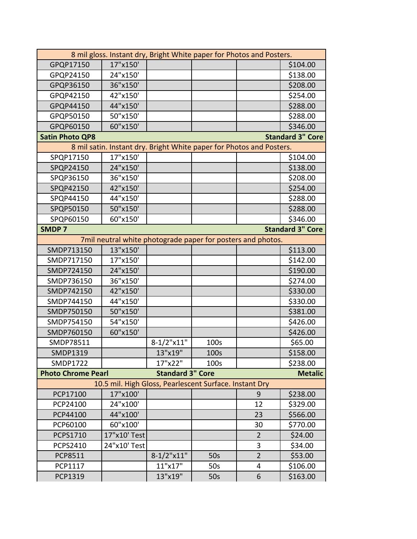| 8 mil gloss. Instant dry, Bright White paper for Photos and Posters. |                                                                      |                         |      |                |                         |  |
|----------------------------------------------------------------------|----------------------------------------------------------------------|-------------------------|------|----------------|-------------------------|--|
| GPQP17150                                                            | 17"x150'                                                             |                         |      |                | \$104.00                |  |
| GPQP24150                                                            | 24"x150'                                                             |                         |      |                | \$138.00                |  |
| GPQP36150                                                            | 36"x150'                                                             |                         |      |                | \$208.00                |  |
| GPQP42150                                                            | 42"x150'                                                             |                         |      |                | \$254.00                |  |
| GPQP44150                                                            | 44"x150'                                                             |                         |      |                | \$288.00                |  |
| GPQP50150                                                            | 50"x150'                                                             |                         |      |                | \$288.00                |  |
| GPQP60150                                                            | 60"x150'                                                             |                         |      |                | \$346.00                |  |
| <b>Satin Photo QP8</b>                                               |                                                                      |                         |      |                | <b>Standard 3" Core</b> |  |
|                                                                      | 8 mil satin. Instant dry. Bright White paper for Photos and Posters. |                         |      |                |                         |  |
| SPQP17150                                                            | 17"x150'                                                             |                         |      |                | \$104.00                |  |
| SPQP24150                                                            | 24"x150'                                                             |                         |      |                | \$138.00                |  |
| SPQP36150                                                            | 36"x150'                                                             |                         |      |                | \$208.00                |  |
| SPQP42150                                                            | 42"x150'                                                             |                         |      |                | \$254.00                |  |
| SPQP44150                                                            | 44"x150'                                                             |                         |      |                | \$288.00                |  |
| SPQP50150                                                            | 50"x150'                                                             |                         |      |                | \$288.00                |  |
| SPQP60150                                                            | 60"x150'                                                             |                         |      |                | \$346.00                |  |
| <b>SMDP7</b>                                                         |                                                                      |                         |      |                | <b>Standard 3" Core</b> |  |
|                                                                      | 7mil neutral white photograde paper for posters and photos.          |                         |      |                |                         |  |
| SMDP713150                                                           | 13"x150'                                                             |                         |      |                | \$113.00                |  |
| SMDP717150                                                           | 17"x150'                                                             |                         |      |                | \$142.00                |  |
| SMDP724150                                                           | 24"x150'                                                             |                         |      |                | \$190.00                |  |
| SMDP736150                                                           | 36"x150'                                                             |                         |      |                | \$274.00                |  |
| SMDP742150                                                           | 42"x150'                                                             |                         |      |                | \$330.00                |  |
| SMDP744150                                                           | 44"x150'                                                             |                         |      |                | \$330.00                |  |
| SMDP750150                                                           | 50"x150'                                                             |                         |      |                | \$381.00                |  |
| SMDP754150                                                           | 54"x150'                                                             |                         |      |                | \$426.00                |  |
| SMDP760150                                                           | 60"x150'                                                             |                         |      |                | \$426.00                |  |
| SMDP78511                                                            |                                                                      | $8 - 1/2$ "x11"         | 100s |                | \$65.00                 |  |
| SMDP1319                                                             |                                                                      | 13"x19"                 | 100s |                | \$158.00                |  |
| SMDP1722                                                             |                                                                      | 17"x22"                 | 100s |                | \$238.00                |  |
| <b>Photo Chrome Pearl</b>                                            |                                                                      | <b>Standard 3" Core</b> |      |                | <b>Metalic</b>          |  |
|                                                                      | 10.5 mil. High Gloss, Pearlescent Surface. Instant Dry               |                         |      |                |                         |  |
| PCP17100                                                             | 17"x100'                                                             |                         |      | 9              | \$238.00                |  |
| PCP24100                                                             | 24"x100'                                                             |                         |      | 12             | \$329.00                |  |
| PCP44100                                                             | 44"x100'                                                             |                         |      | 23             | \$566.00                |  |
| PCP60100                                                             | 60"x100'                                                             |                         |      | 30             | \$770.00                |  |
| PCPS1710                                                             | 17"x10' Test                                                         |                         |      | $\overline{2}$ | \$24.00                 |  |
| <b>PCPS2410</b>                                                      | 24"x10' Test                                                         |                         |      | 3              | \$34.00                 |  |
| PCP8511                                                              |                                                                      | $8-1/2$ "x11"           | 50s  | $\overline{2}$ | \$53.00                 |  |
| PCP1117                                                              |                                                                      | 11"x17"                 | 50s  | 4              | \$106.00                |  |
| PCP1319                                                              |                                                                      | 13"x19"                 | 50s  | 6              | \$163.00                |  |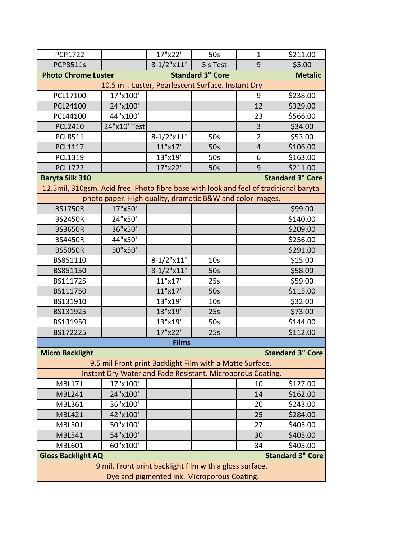| <b>PCP1722</b>                                                                        |                                                            | 17"x22"       | 50s                     | $\mathbf{1}$   | \$211.00                |  |
|---------------------------------------------------------------------------------------|------------------------------------------------------------|---------------|-------------------------|----------------|-------------------------|--|
| <b>PCP8511s</b>                                                                       |                                                            | $8-1/2$ "x11" | 5's Test                | 9              | \$5.00                  |  |
| <b>Photo Chrome Luster</b>                                                            |                                                            |               | <b>Standard 3" Core</b> |                | <b>Metalic</b>          |  |
|                                                                                       | 10.5 mil. Luster, Pearlescent Surface. Instant Dry         |               |                         |                |                         |  |
| PCL17100                                                                              | 17"x100'                                                   |               |                         | 9              | \$238.00                |  |
| PCL24100                                                                              | 24"x100'                                                   |               |                         | 12             | \$329.00                |  |
| PCL44100                                                                              | 44"x100'                                                   |               |                         | 23             | \$566.00                |  |
| <b>PCL2410</b>                                                                        | 24"x10' Test                                               |               |                         | 3              | \$34.00                 |  |
| <b>PCL8511</b>                                                                        |                                                            | $8-1/2$ "x11" | 50s                     | $\overline{2}$ | \$53.00                 |  |
| PCL1117                                                                               |                                                            | 11"x17"       | 50s                     | $\overline{4}$ | \$106.00                |  |
| PCL1319                                                                               |                                                            | 13"x19"       | 50s                     | 6              | \$163.00                |  |
| <b>PCL1722</b>                                                                        |                                                            | 17"x22"       | 50s                     | 9              | \$211.00                |  |
| <b>Baryta Silk 310</b>                                                                |                                                            |               |                         |                | <b>Standard 3" Core</b> |  |
| 12.5mil, 310gsm. Acid free. Photo fibre base with look and feel of traditional baryta |                                                            |               |                         |                |                         |  |
|                                                                                       | photo paper. High quality, dramatic B&W and color images.  |               |                         |                |                         |  |
| <b>BS1750R</b>                                                                        | 17"x50'                                                    |               |                         |                | \$99.00                 |  |
| <b>BS2450R</b>                                                                        | 24"x50'                                                    |               |                         |                | \$140.00                |  |
| <b>BS3650R</b>                                                                        | 36"x50'                                                    |               |                         |                | \$209.00                |  |
| <b>BS4450R</b>                                                                        | 44"x50'                                                    |               |                         |                | \$256.00                |  |
| <b>BS5050R</b>                                                                        | 50"x50'                                                    |               |                         |                | \$291.00                |  |
| BS851110                                                                              |                                                            | $8-1/2$ "x11" | 10 <sub>s</sub>         |                | \$15.00                 |  |
| BS851150                                                                              |                                                            | $8-1/2$ "x11" | 50s                     |                | \$58.00                 |  |
| BS111725                                                                              |                                                            | 11"x17"       | 25s                     |                | \$59.00                 |  |
| BS111750                                                                              |                                                            | 11"x17"       | 50s                     |                | \$115.00                |  |
| BS131910                                                                              |                                                            | 13"x19"       | 10 <sub>s</sub>         |                | \$32.00                 |  |
| BS131925                                                                              |                                                            | 13"x19"       | 25s                     |                | \$73.00                 |  |
| BS131950                                                                              |                                                            | 13"x19"       | 50s                     |                | \$144.00                |  |
| BS172225                                                                              |                                                            | 17"x22"       | 25s                     |                | \$112.00                |  |
|                                                                                       |                                                            | <b>Films</b>  |                         |                |                         |  |
| <b>Micro Backlight</b>                                                                |                                                            |               |                         |                | <b>Standard 3" Core</b> |  |
|                                                                                       | 9.5 mil Front print Backlight Film with a Matte Surface.   |               |                         |                |                         |  |
|                                                                                       | Instant Dry Water and Fade Resistant. Microporous Coating. |               |                         |                |                         |  |
| MBL171                                                                                | 17"x100'                                                   |               |                         | 10             | \$127.00                |  |
| <b>MBL241</b>                                                                         | 24"x100'                                                   |               |                         | 14             | \$162.00                |  |
| <b>MBL361</b>                                                                         | 36"x100'                                                   |               |                         | 20             | \$243.00                |  |
| <b>MBL421</b>                                                                         | 42"x100'                                                   |               |                         | 25             | \$284.00                |  |
| <b>MBL501</b>                                                                         | 50"x100'                                                   |               |                         | 27             | \$405.00                |  |
| <b>MBL541</b>                                                                         | 54"x100'                                                   |               |                         | 30             | \$405.00                |  |
| <b>MBL601</b>                                                                         | 60"x100'                                                   |               |                         | 34             | \$405.00                |  |
|                                                                                       | <b>Gloss Backlight AQ</b><br><b>Standard 3" Core</b>       |               |                         |                |                         |  |
|                                                                                       | 9 mil, Front print backlight film with a gloss surface.    |               |                         |                |                         |  |
| Dye and pigmented ink. Microporous Coating.                                           |                                                            |               |                         |                |                         |  |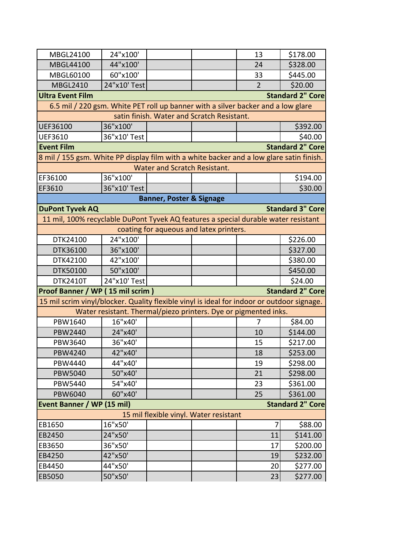| MBGL24100                                                                                  | 24"x100'                                                        |                                     |                                            | 13             | \$178.00                |  |
|--------------------------------------------------------------------------------------------|-----------------------------------------------------------------|-------------------------------------|--------------------------------------------|----------------|-------------------------|--|
| MBGL44100                                                                                  | 44"x100'                                                        |                                     |                                            | 24             | \$328.00                |  |
| MBGL60100                                                                                  | 60"x100'                                                        |                                     |                                            | 33             | \$445.00                |  |
| <b>MBGL2410</b>                                                                            | 24"x10' Test                                                    |                                     |                                            | $\overline{2}$ | \$20.00                 |  |
| <b>Ultra Event Film</b>                                                                    |                                                                 |                                     |                                            |                | <b>Standard 2" Core</b> |  |
| 6.5 mil / 220 gsm. White PET roll up banner with a silver backer and a low glare           |                                                                 |                                     |                                            |                |                         |  |
|                                                                                            |                                                                 |                                     | satin finish. Water and Scratch Resistant. |                |                         |  |
| UEF36100                                                                                   | 36"x100'                                                        |                                     |                                            |                | \$392.00                |  |
| <b>UEF3610</b>                                                                             | 36"x10' Test                                                    |                                     |                                            |                | \$40.00                 |  |
| <b>Event Film</b>                                                                          |                                                                 |                                     |                                            |                | <b>Standard 2" Core</b> |  |
| 8 mil / 155 gsm. White PP display film with a white backer and a low glare satin finish.   |                                                                 |                                     |                                            |                |                         |  |
|                                                                                            |                                                                 | Water and Scratch Resistant.        |                                            |                |                         |  |
| EF36100                                                                                    | 36"x100"                                                        |                                     |                                            |                | \$194.00                |  |
| EF3610                                                                                     | 36"x10' Test                                                    |                                     |                                            |                | \$30.00                 |  |
|                                                                                            |                                                                 | <b>Banner, Poster &amp; Signage</b> |                                            |                |                         |  |
| <b>DuPont Tyvek AQ</b>                                                                     |                                                                 |                                     |                                            |                | <b>Standard 3" Core</b> |  |
| 11 mil, 100% recyclable DuPont Tyvek AQ features a special durable water resistant         |                                                                 |                                     |                                            |                |                         |  |
|                                                                                            |                                                                 |                                     | coating for aqueous and latex printers.    |                |                         |  |
| DTK24100                                                                                   | 24"x100'                                                        |                                     |                                            |                | \$226.00                |  |
| DTK36100                                                                                   | 36"x100'                                                        |                                     |                                            |                | \$327.00                |  |
| DTK42100                                                                                   | 42"x100'                                                        |                                     |                                            |                | \$380.00                |  |
| DTK50100                                                                                   | 50"x100'                                                        |                                     |                                            |                | \$450.00                |  |
| <b>DTK2410T</b>                                                                            | 24"x10' Test                                                    |                                     |                                            |                | \$24.00                 |  |
| Proof Banner / WP (15 mil scrim)                                                           |                                                                 |                                     |                                            |                | <b>Standard 2" Core</b> |  |
| 15 mil scrim vinyl/blocker. Quality flexible vinyl is ideal for indoor or outdoor signage. |                                                                 |                                     |                                            |                |                         |  |
|                                                                                            | Water resistant. Thermal/piezo printers. Dye or pigmented inks. |                                     |                                            |                |                         |  |
| PBW1640                                                                                    | 16"x40'                                                         |                                     |                                            | 7              | \$84.00                 |  |
| <b>PBW2440</b>                                                                             | 24"x40'                                                         |                                     |                                            | 10             | \$144.00                |  |
| PBW3640                                                                                    | 36"x40'                                                         |                                     |                                            | 15             | \$217.00                |  |
| PBW4240                                                                                    | 42"x40'                                                         |                                     |                                            | 18             | \$253.00                |  |
| PBW4440                                                                                    | 44"x40'                                                         |                                     |                                            | 19             | \$298.00                |  |
| <b>PBW5040</b>                                                                             | 50"x40'                                                         |                                     |                                            | 21             | \$298.00                |  |
| <b>PBW5440</b>                                                                             | 54"x40'                                                         |                                     |                                            | 23             | \$361.00                |  |
| PBW6040                                                                                    | 60"x40'                                                         |                                     |                                            | 25             | \$361.00                |  |
| <b>Event Banner / WP (15 mil)</b><br><b>Standard 2" Core</b>                               |                                                                 |                                     |                                            |                |                         |  |
| 15 mil flexible vinyl. Water resistant                                                     |                                                                 |                                     |                                            |                |                         |  |
| EB1650                                                                                     | 16"x50'                                                         |                                     |                                            | 7              | \$88.00                 |  |
| EB2450                                                                                     | 24"x50'                                                         |                                     |                                            | 11             | \$141.00                |  |
| EB3650                                                                                     | 36"x50'                                                         |                                     |                                            | 17             | \$200.00                |  |
| EB4250                                                                                     | 42"x50'                                                         |                                     |                                            | 19             | \$232.00                |  |
| EB4450                                                                                     | 44"x50'                                                         |                                     |                                            | 20             | \$277.00                |  |
| EB5050                                                                                     | 50"x50'                                                         |                                     |                                            | 23             | \$277.00                |  |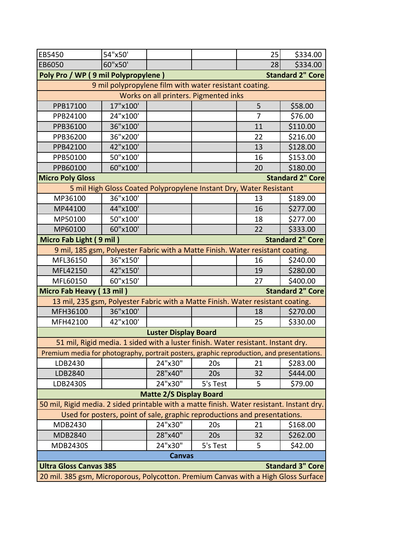| <b>EB5450</b>                                                                             | 54"x50'                                                                   |                                |                                       | 25 | \$334.00                |
|-------------------------------------------------------------------------------------------|---------------------------------------------------------------------------|--------------------------------|---------------------------------------|----|-------------------------|
| EB6050                                                                                    | 60"x50'                                                                   |                                |                                       | 28 | \$334.00                |
| Poly Pro / WP (9 mil Polypropylene)                                                       |                                                                           |                                |                                       |    | <b>Standard 2" Core</b> |
|                                                                                           | 9 mil polypropylene film with water resistant coating.                    |                                |                                       |    |                         |
|                                                                                           |                                                                           |                                | Works on all printers. Pigmented inks |    |                         |
| PPB17100                                                                                  | 17"x100'                                                                  |                                |                                       | 5  | \$58.00                 |
| PPB24100                                                                                  | 24"x100'                                                                  |                                |                                       | 7  | \$76.00                 |
| PPB36100                                                                                  | 36"x100'                                                                  |                                |                                       | 11 | \$110.00                |
| PPB36200                                                                                  | 36"x200'                                                                  |                                |                                       | 22 | \$216.00                |
| PPB42100                                                                                  | 42"x100'                                                                  |                                |                                       | 13 | \$128.00                |
| PPB50100                                                                                  | 50"x100'                                                                  |                                |                                       | 16 | \$153.00                |
| PPB60100                                                                                  | 60"x100'                                                                  |                                |                                       | 20 | \$180.00                |
| <b>Micro Poly Gloss</b>                                                                   |                                                                           |                                |                                       |    | <b>Standard 2" Core</b> |
|                                                                                           | 5 mil High Gloss Coated Polypropylene Instant Dry, Water Resistant        |                                |                                       |    |                         |
| MP36100                                                                                   | 36"x100'                                                                  |                                |                                       | 13 | \$189.00                |
| MP44100                                                                                   | 44"x100'                                                                  |                                |                                       | 16 | \$277.00                |
| MP50100                                                                                   | 50"x100'                                                                  |                                |                                       | 18 | \$277.00                |
| MP60100                                                                                   | 60"x100'                                                                  |                                |                                       | 22 | \$333.00                |
| Micro Fab Light (9 mil)                                                                   |                                                                           |                                |                                       |    | <b>Standard 2" Core</b> |
| 9 mil, 185 gsm, Polyester Fabric with a Matte Finish. Water resistant coating.            |                                                                           |                                |                                       |    |                         |
| MFL36150                                                                                  | 36"x150'                                                                  |                                |                                       | 16 | \$240.00                |
| MFL42150                                                                                  | 42"x150'                                                                  |                                |                                       | 19 | \$280.00                |
| MFL60150                                                                                  | 60"x150'                                                                  |                                |                                       | 27 | \$400.00                |
| Micro Fab Heavy (13 mil)                                                                  |                                                                           |                                |                                       |    | <b>Standard 2" Core</b> |
| 13 mil, 235 gsm, Polyester Fabric with a Matte Finish. Water resistant coating.           |                                                                           |                                |                                       |    |                         |
| MFH36100                                                                                  | 36"x100'                                                                  |                                |                                       | 18 | \$270.00                |
| MFH42100                                                                                  | 42"x100'                                                                  |                                |                                       | 25 | \$330.00                |
|                                                                                           |                                                                           | <b>Luster Display Board</b>    |                                       |    |                         |
| 51 mil, Rigid media. 1 sided with a luster finish. Water resistant. Instant dry.          |                                                                           |                                |                                       |    |                         |
| Premium media for photography, portrait posters, graphic reproduction, and presentations. |                                                                           |                                |                                       |    |                         |
| LDB2430                                                                                   |                                                                           | 24"x30"                        | 20s                                   | 21 | \$283.00                |
| LDB2840                                                                                   |                                                                           | 28"x40"                        | 20s                                   | 32 | \$444.00                |
| LDB2430S                                                                                  |                                                                           | 24"x30"                        | 5's Test                              | 5  | \$79.00                 |
|                                                                                           |                                                                           | <b>Matte 2/S Display Board</b> |                                       |    |                         |
| 50 mil, Rigid media. 2 sided printable with a matte finish. Water resistant. Instant dry. |                                                                           |                                |                                       |    |                         |
|                                                                                           | Used for posters, point of sale, graphic reproductions and presentations. |                                |                                       |    |                         |
| MDB2430                                                                                   |                                                                           | 24"x30"                        | 20s                                   | 21 | \$168.00                |
| <b>MDB2840</b>                                                                            |                                                                           | 28"x40"                        | 20s                                   | 32 | \$262.00                |
| <b>MDB2430S</b>                                                                           |                                                                           | 24"x30"                        | 5's Test                              | 5  | \$42.00                 |
|                                                                                           |                                                                           | <b>Canvas</b>                  |                                       |    |                         |
| <b>Ultra Gloss Canvas 385</b>                                                             |                                                                           |                                |                                       |    | <b>Standard 3" Core</b> |
| 20 mil. 385 gsm, Microporous, Polycotton. Premium Canvas with a High Gloss Surface        |                                                                           |                                |                                       |    |                         |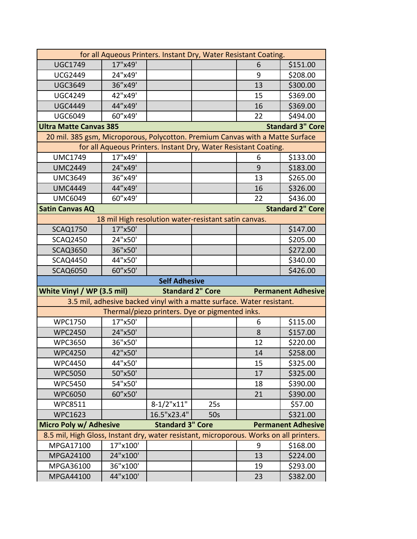| for all Aqueous Printers. Instant Dry, Water Resistant Coating.                        |          |                         |                                                                       |    |                           |  |
|----------------------------------------------------------------------------------------|----------|-------------------------|-----------------------------------------------------------------------|----|---------------------------|--|
| <b>UGC1749</b>                                                                         | 17"x49'  |                         |                                                                       | 6  | \$151.00                  |  |
| <b>UCG2449</b>                                                                         | 24"x49'  |                         |                                                                       | 9  | \$208.00                  |  |
| <b>UGC3649</b>                                                                         | 36"x49'  |                         |                                                                       | 13 | \$300.00                  |  |
| <b>UGC4249</b>                                                                         | 42"x49'  |                         |                                                                       | 15 | \$369.00                  |  |
| <b>UGC4449</b>                                                                         | 44"x49'  |                         |                                                                       | 16 | \$369.00                  |  |
| <b>UGC6049</b>                                                                         | 60"x49'  |                         |                                                                       | 22 | \$494.00                  |  |
| <b>Standard 3" Core</b><br><b>Ultra Matte Canvas 385</b>                               |          |                         |                                                                       |    |                           |  |
| 20 mil. 385 gsm, Microporous, Polycotton. Premium Canvas with a Matte Surface          |          |                         |                                                                       |    |                           |  |
|                                                                                        |          |                         | for all Aqueous Printers. Instant Dry, Water Resistant Coating.       |    |                           |  |
| <b>UMC1749</b>                                                                         | 17"x49'  |                         |                                                                       | 6  | \$133.00                  |  |
| <b>UMC2449</b>                                                                         | 24"x49'  |                         |                                                                       | 9  | \$183.00                  |  |
| <b>UMC3649</b>                                                                         | 36"x49'  |                         |                                                                       | 13 | \$265.00                  |  |
| <b>UMC4449</b>                                                                         | 44"x49'  |                         |                                                                       | 16 | \$326.00                  |  |
| <b>UMC6049</b>                                                                         | 60"x49'  |                         |                                                                       | 22 | \$436.00                  |  |
| <b>Satin Canvas AQ</b>                                                                 |          |                         |                                                                       |    | <b>Standard 2" Core</b>   |  |
|                                                                                        |          |                         | 18 mil High resolution water-resistant satin canvas.                  |    |                           |  |
| <b>SCAQ1750</b>                                                                        | 17"x50'  |                         |                                                                       |    | \$147.00                  |  |
| <b>SCAQ2450</b>                                                                        | 24"x50'  |                         |                                                                       |    | \$205.00                  |  |
| <b>SCAQ3650</b>                                                                        | 36"x50'  |                         |                                                                       |    | \$272.00                  |  |
| <b>SCAQ4450</b>                                                                        | 44"x50'  |                         |                                                                       |    | \$340.00                  |  |
| <b>SCAQ6050</b>                                                                        | 60"x50'  |                         |                                                                       |    | \$426.00                  |  |
|                                                                                        |          | <b>Self Adhesive</b>    |                                                                       |    |                           |  |
| White Vinyl / WP (3.5 mil)                                                             |          |                         | <b>Standard 2" Core</b>                                               |    | <b>Permanent Adhesive</b> |  |
|                                                                                        |          |                         | 3.5 mil, adhesive backed vinyl with a matte surface. Water resistant. |    |                           |  |
|                                                                                        |          |                         | Thermal/piezo printers. Dye or pigmented inks.                        |    |                           |  |
| <b>WPC1750</b>                                                                         | 17"x50'  |                         |                                                                       | 6  | \$115.00                  |  |
| <b>WPC2450</b>                                                                         | 24"x50'  |                         |                                                                       | 8  | \$157.00                  |  |
| <b>WPC3650</b>                                                                         | 36"x50'  |                         |                                                                       | 12 | \$220.00                  |  |
| <b>WPC4250</b>                                                                         | 42"x50'  |                         |                                                                       | 14 | \$258.00                  |  |
| <b>WPC4450</b>                                                                         | 44"x50'  |                         |                                                                       | 15 | \$325.00                  |  |
| <b>WPC5050</b>                                                                         | 50"x50'  |                         |                                                                       | 17 | \$325.00                  |  |
| <b>WPC5450</b>                                                                         | 54"x50'  |                         |                                                                       | 18 | \$390.00                  |  |
| <b>WPC6050</b>                                                                         | 60"x50'  |                         |                                                                       | 21 | \$390.00                  |  |
| <b>WPC8511</b>                                                                         |          | $8-1/2$ "x11"           | 25s                                                                   |    | \$57.00                   |  |
| <b>WPC1623</b>                                                                         |          | 16.5"x23.4"             | 50s                                                                   |    | \$321.00                  |  |
| Micro Poly w/ Adhesive                                                                 |          | <b>Standard 3" Core</b> |                                                                       |    | <b>Permanent Adhesive</b> |  |
| 8.5 mil, High Gloss, Instant dry, water resistant, microporous. Works on all printers. |          |                         |                                                                       |    |                           |  |
| MPGA17100                                                                              | 17"x100' |                         |                                                                       | 9  | \$168.00                  |  |
| <b>MPGA24100</b>                                                                       | 24"x100' |                         |                                                                       | 13 | \$224.00                  |  |
| MPGA36100                                                                              | 36"x100' |                         |                                                                       | 19 | \$293.00                  |  |
| MPGA44100                                                                              | 44"x100' |                         |                                                                       | 23 | \$382.00                  |  |